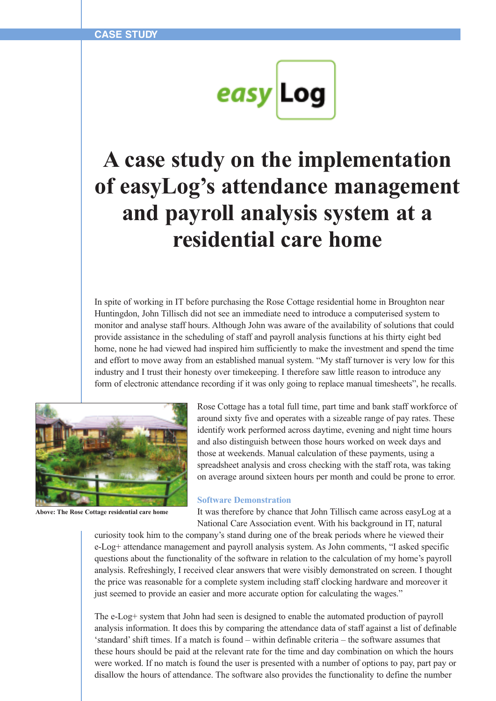

## **A case study on the implementation of easyLog's attendance management and payroll analysis system at a residential care home**

In spite of working in IT before purchasing the Rose Cottage residential home in Broughton near Huntingdon, John Tillisch did not see an immediate need to introduce a computerised system to monitor and analyse staff hours. Although John was aware of the availability of solutions that could provide assistance in the scheduling of staff and payroll analysis functions at his thirty eight bed home, none he had viewed had inspired him sufficiently to make the investment and spend the time and effort to move away from an established manual system. "My staff turnover is very low for this industry and I trust their honesty over timekeeping. I therefore saw little reason to introduce any form of electronic attendance recording if it was only going to replace manual timesheets", he recalls.



**Above: The Rose Cottage residential care home**

Rose Cottage has a total full time, part time and bank staff workforce of around sixty five and operates with a sizeable range of pay rates. These identify work performed across daytime, evening and night time hours and also distinguish between those hours worked on week days and those at weekends. Manual calculation of these payments, using a spreadsheet analysis and cross checking with the staff rota, was taking on average around sixteen hours per month and could be prone to error.

## **Software Demonstration**

It was therefore by chance that John Tillisch came across easyLog at a National Care Association event. With his background in IT, natural

curiosity took him to the company's stand during one of the break periods where he viewed their e-Log+ attendance management and payroll analysis system. As John comments, "I asked specific questions about the functionality of the software in relation to the calculation of my home's payroll analysis. Refreshingly, I received clear answers that were visibly demonstrated on screen. I thought the price was reasonable for a complete system including staff clocking hardware and moreover it just seemed to provide an easier and more accurate option for calculating the wages."

The e-Log+ system that John had seen is designed to enable the automated production of payroll analysis information. It does this by comparing the attendance data of staff against a list of definable 'standard'shift times. If a match is found – within definable criteria – the software assumes that these hours should be paid at the relevant rate for the time and day combination on which the hours were worked. If no match is found the user is presented with a number of options to pay, part pay or disallow the hours of attendance. The software also provides the functionality to define the number